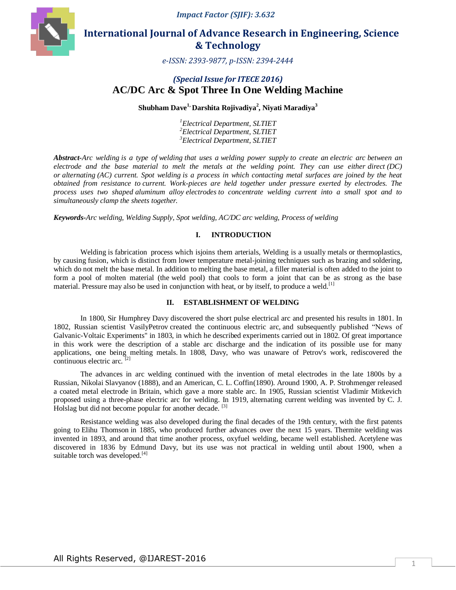*Impact Factor (SJIF): 3.632*



# **International Journal of Advance Research in Engineering, Science & Technology**

*e-ISSN: 2393-9877, p-ISSN: 2394-2444*

## *(Special Issue for ITECE 2016)* **AC/DC Arc & Spot Three In One Welding Machine**

#### **Shubham Dave1, Darshita Rojivadiya<sup>2</sup> , Niyati Maradiya<sup>3</sup>**

*<sup>1</sup>Electrical Department, SLTIET <sup>2</sup>Electrical Department, SLTIET <sup>3</sup>Electrical Department, SLTIET* 

*Abstract-Arc welding is a type of [welding](https://en.wikipedia.org/wiki/Welding) that uses a [welding power supply](https://en.wikipedia.org/wiki/Welding_power_supply) to create an [electric arc](https://en.wikipedia.org/wiki/Electric_arc) between an electrode and the base material to melt the metals at the welding point. They can use either [direct](https://en.wikipedia.org/wiki/Direct_current)* (DC) *or [alternating](https://en.wikipedia.org/wiki/Alternating_current) (AC) current. Spot welding is a process in which contacting metal surfaces are joined by the heat obtained from resistance to current. Work-pieces are held together under pressure exerted by electrodes. The process uses two shaped [aluminum alloy](https://en.wikipedia.org/wiki/List_of_copper_alloys) [electrodes](https://en.wikipedia.org/wiki/Electrode) to concentrate welding current into a small spot and to simultaneously clamp the sheets together.*

*Keywords-Arc welding, Welding Supply, Spot welding, AC/DC arc welding, Process of welding*

#### **I. INTRODUCTION**

Welding is [fabrication](https://en.wikipedia.org/wiki/Fabrication_(metal)) [process](https://en.wikipedia.org/wiki/Process_(science)) which isjoins them arterials, Welding is a usually [metals](https://en.wikipedia.org/wiki/Metal) or [thermoplastics,](https://en.wikipedia.org/wiki/Thermoplastic) by causing [fusion,](https://en.wikipedia.org/wiki/Fusion_welding) which is distinct from lower temperature metal-joining techniques such as [brazing](https://en.wikipedia.org/wiki/Brazing) and [soldering,](https://en.wikipedia.org/wiki/Soldering) which do not [melt](https://en.wikipedia.org/wiki/Melting) the base metal. In addition to melting the base metal, a filler material is often added to the joint to form a pool of molten material (the [weld pool\)](https://en.wikipedia.org/wiki/Weld_pool) that cools to form a joint that can be as strong as the base material. [Pressure](https://en.wikipedia.org/wiki/Pressure) may also be used in conjunction with [heat,](https://en.wikipedia.org/wiki/Heat) or by itself, to produce a weld.<sup>[1]</sup>

#### **II. ESTABLISHMENT OF WELDING**

In 1800, [Sir Humphrey Davy](https://en.wikipedia.org/wiki/Humphry_Davy) discovered the short pulse electrical arc and presented his results in 1801. In 1802, Russian scientist [VasilyPetrov](https://en.wikipedia.org/wiki/Vasily_Vladimirovich_Petrov) created the continuous electric arc, and subsequently published "News of Galvanic-Voltaic Experiments" in 1803, in which he described experiments carried out in 1802. Of great importance in this work were the description of a stable arc discharge and the indication of its possible use for many applications, one being melting metals. In 1808, Davy, who was unaware of Petrov's work, rediscovered the continuous electric arc. [2]

The advances in arc welding continued with the invention of metal electrodes in the late 1800s by a Russian, [Nikolai Slavyanov](https://en.wikipedia.org/wiki/Nikolai_Slavyanov) (1888), and an American, [C. L. Coffin\(](https://en.wikipedia.org/wiki/C._L._Coffin)1890). Around 1900, A. P. Strohmenger released a coated metal electrode in [Britain,](https://en.wikipedia.org/wiki/United_Kingdom) which gave a more stable arc. In 1905, Russian scientist Vladimir Mitkevich proposed using a three-phase electric arc for welding. In 1919, [alternating current](https://en.wikipedia.org/wiki/Alternating_current) welding was invented by C. J. Holslag but did not become popular for another decade. <sup>[3]</sup>

Resistance welding was also developed during the final decades of the 19th century, with the first patents going to [Elihu Thomson](https://en.wikipedia.org/wiki/Elihu_Thomson) in 1885, who produced further advances over the next 15 years. [Thermite welding](https://en.wikipedia.org/wiki/Thermite_welding) was invented in 1893, and around that time another process, oxyfuel welding, became well established. [Acetylene](https://en.wikipedia.org/wiki/Acetylene) was discovered in 1836 by [Edmund Davy,](https://en.wikipedia.org/wiki/Edmund_Davy) but its use was not practical in welding until about 1900, when a suitable [torch](https://en.wikipedia.org/wiki/Gas_welding#Torch) was developed.<sup>[4]</sup>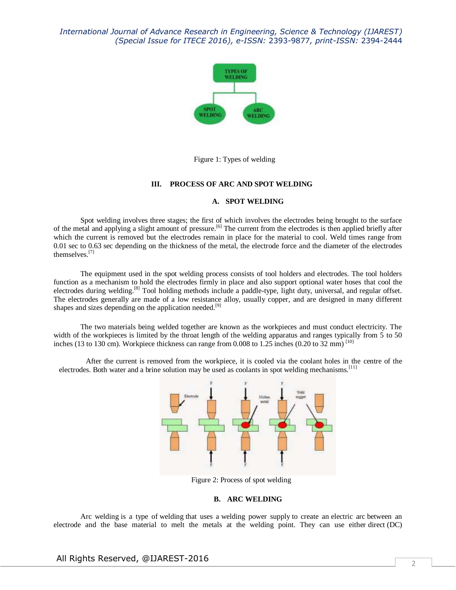

Figure 1: Types of welding

#### **III. PROCESS OF ARC AND SPOT WELDING**

#### **A. SPOT WELDING**

Spot welding involves three stages; the first of which involves the electrodes being brought to the surface of the metal and applying a slight amount of pressure.<sup>[6]</sup> The current from the electrodes is then applied briefly after which the current is removed but the electrodes remain in place for the material to cool. Weld times range from 0.01 sec to 0.63 sec depending on the thickness of the metal, the electrode force and the diameter of the electrodes themselves.[7]

The equipment used in the spot welding process consists of tool holders and electrodes. The tool holders function as a mechanism to hold the electrodes firmly in place and also support optional water hoses that cool the electrodes during welding.<sup>[8]</sup> Tool holding methods include a paddle-type, light duty, universal, and regular offset. The electrodes generally are made of a low resistance alloy, usually copper, and are designed in many different shapes and sizes depending on the application needed.<sup>[9]</sup>

The two materials being welded together are known as the workpieces and must conduct electricity. The width of the workpieces is limited by the throat length of the welding apparatus and ranges typically from 5 to 50 inches (13 to 130 cm). Workpiece thickness can range from  $0.008$  to 1.25 inches (0.20 to 32 mm) <sup>[10]</sup>

After the current is removed from the workpiece, it is cooled via the coolant holes in the centre of the electrodes. Both water and a brine solution may be used as coolants in spot welding mechanisms.<sup>[11]</sup>



Figure 2: Process of spot welding

#### **B. ARC WELDING**

Arc welding is a type of [welding](https://en.wikipedia.org/wiki/Welding) that uses a [welding power supply](https://en.wikipedia.org/wiki/Welding_power_supply) to create an [electric arc](https://en.wikipedia.org/wiki/Electric_arc) between an electrode and the base material to melt the metals at the welding point. They can use either [direct](https://en.wikipedia.org/wiki/Direct_current) (DC)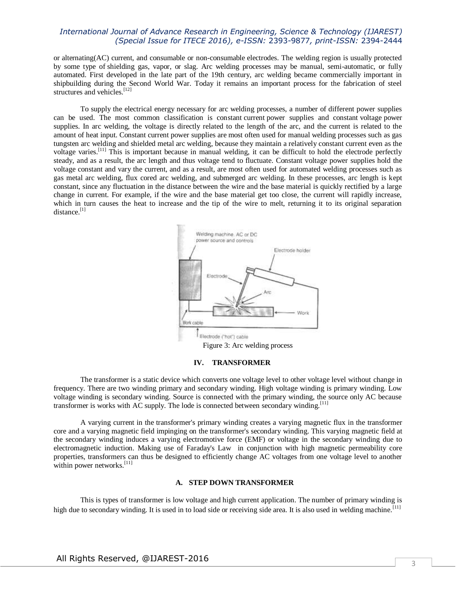or [alternating\(](https://en.wikipedia.org/wiki/Alternating_current)AC) current, and consumable or non-consumable [electrodes.](https://en.wikipedia.org/wiki/Electrode) The welding region is usually protected by some type of [shielding gas,](https://en.wikipedia.org/wiki/Shielding_gas) vapor, or slag. Arc welding processes may be manual, semi-automatic, or fully automated. First developed in the late part of the 19th century, arc welding became commercially important in shipbuilding during the Second World War. Today it remains an important process for the fabrication of steel structures and vehicles.<sup>[12]</sup>

To supply the electrical energy necessary for arc welding processes, a number of different power supplies can be used. The most common classification is constant [current](https://en.wikipedia.org/wiki/Electrical_current) power supplies and constant [voltage](https://en.wikipedia.org/wiki/Voltage) power supplies. In arc welding, the voltage is directly related to the length of the arc, and the current is related to the amount of heat input. Constant current power supplies are most often used for manual welding processes such as gas tungsten arc welding and shielded metal arc welding, because they maintain a relatively constant current even as the voltage varies.[11] This is important because in manual welding, it can be difficult to hold the electrode perfectly steady, and as a result, the arc length and thus voltage tend to fluctuate. Constant voltage power supplies hold the voltage constant and vary the current, and as a result, are most often used for automated welding processes such as gas metal arc welding, flux cored arc welding, and submerged arc welding. In these processes, arc length is kept constant, since any fluctuation in the distance between the wire and the base material is quickly rectified by a large change in current. For example, if the wire and the base material get too close, the current will rapidly increase, which in turn causes the heat to increase and the tip of the wire to melt, returning it to its original separation distance. $^{[1]}$ 



Figure 3: Arc welding process

#### **IV. TRANSFORMER**

The transformer is a static device which converts one voltage level to other voltage level without change in frequency. There are two winding primary and secondary winding. High voltage winding is primary winding. Low voltage winding is secondary winding. Source is connected with the primary winding, the source only AC because transformer is works with AC supply. The lode is connected between secondary winding.<sup>[11]</sup>

A varying current in the transformer's primary winding creates a varying [magnetic flux](https://en.wikipedia.org/wiki/Magnetic_flux) in the transformer core and a varying magnetic field impinging on the transformer's secondary winding. This varying [magnetic field](https://en.wikipedia.org/wiki/Magnetic_field) at the secondary winding induces a varying [electromotive force](https://en.wikipedia.org/wiki/Electromotive_force) (EMF) or voltage in the secondary winding due to electromagnetic induction. Making use of [Faraday's Law](https://en.wikipedia.org/wiki/Faraday%27s_law_of_induction) in conjunction with high [magnetic permeability](https://en.wikipedia.org/wiki/Permeability_(electromagnetism)) core properties, transformers can thus be designed to efficiently change [AC](https://en.wikipedia.org/wiki/Alternating_current) voltages from one voltage level to another within power networks. $[11]$ 

#### **A. STEP DOWN TRANSFORMER**

This is types of transformer is low voltage and high current application. The number of primary winding is high due to secondary winding. It is used in to load side or receiving side area. It is also used in welding machine.<sup>[11]</sup>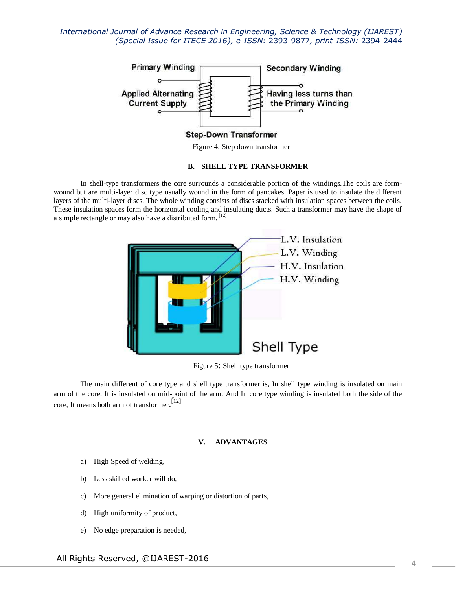

Figure 4: Step down transformer

#### **B. SHELL TYPE TRANSFORMER**

In shell-type transformers the core surrounds a considerable portion of the windings.The coils are formwound but are multi-layer disc type usually wound in the form of pancakes. Paper is used to insulate the different layers of the multi-layer discs. The whole winding consists of discs stacked with insulation spaces between the coils. These insulation spaces form the horizontal cooling and insulating ducts. Such a transformer may have the shape of a simple rectangle or may also have a distributed form. [12]



Figure 5: Shell type transformer

The main different of core type and shell type transformer is, In shell type winding is insulated on main arm of the core, It is insulated on mid-point of the arm. And In core type winding is insulated both the side of the core, It means both arm of transformer. [12]

#### **V. ADVANTAGES**

- a) High Speed of welding,
- b) Less skilled worker will do,
- c) More general elimination of warping or distortion of parts,
- d) High uniformity of product,
- e) No edge preparation is needed,

All Rights Reserved, @IJAREST-2016  $\sqrt{4}$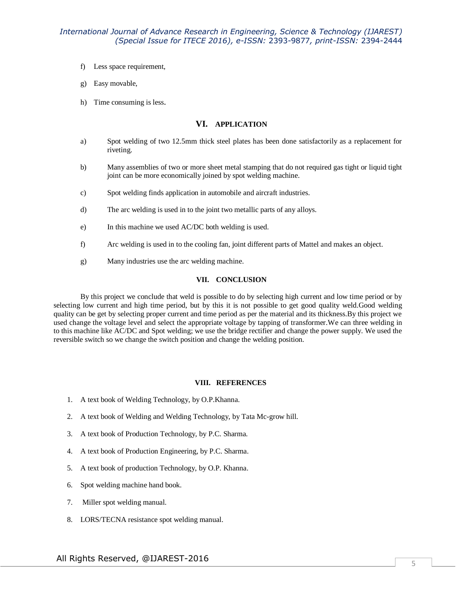- f) Less space requirement,
- g) Easy movable,
- h) Time consuming is less.

#### **VI. APPLICATION**

- a) Spot welding of two 12.5mm thick steel plates has been done satisfactorily as a replacement for riveting.
- b) Many assemblies of two or more sheet metal stamping that do not required gas tight or liquid tight joint can be more economically joined by spot welding machine.
- c) Spot welding finds application in automobile and aircraft industries.
- d) The arc welding is used in to the joint two metallic parts of any alloys.
- e) In this machine we used AC/DC both welding is used.
- f) Arc welding is used in to the cooling fan, joint different parts of Mattel and makes an object.
- g) Many industries use the arc welding machine.

#### **VII. CONCLUSION**

By this project we conclude that weld is possible to do by selecting high current and low time period or by selecting low current and high time period, but by this it is not possible to get good quality weld.Good welding quality can be get by selecting proper current and time period as per the material and its thickness.By this project we used change the voltage level and select the appropriate voltage by tapping of transformer.We can three welding in to this machine like AC/DC and Spot welding; we use the bridge rectifier and change the power supply. We used the reversible switch so we change the switch position and change the welding position.

#### **VIII. REFERENCES**

- 1. A text book of Welding Technology, by O.P.Khanna.
- 2. A text book of Welding and Welding Technology, by Tata Mc-grow hill.
- 3. A text book of Production Technology, by P.C. Sharma.
- 4. A text book of Production Engineering, by P.C. Sharma.
- 5. A text book of production Technology, by O.P. Khanna.
- 6. Spot welding machine hand book.
- 7. Miller spot welding manual.
- 8. LORS/TECNA resistance spot welding manual.